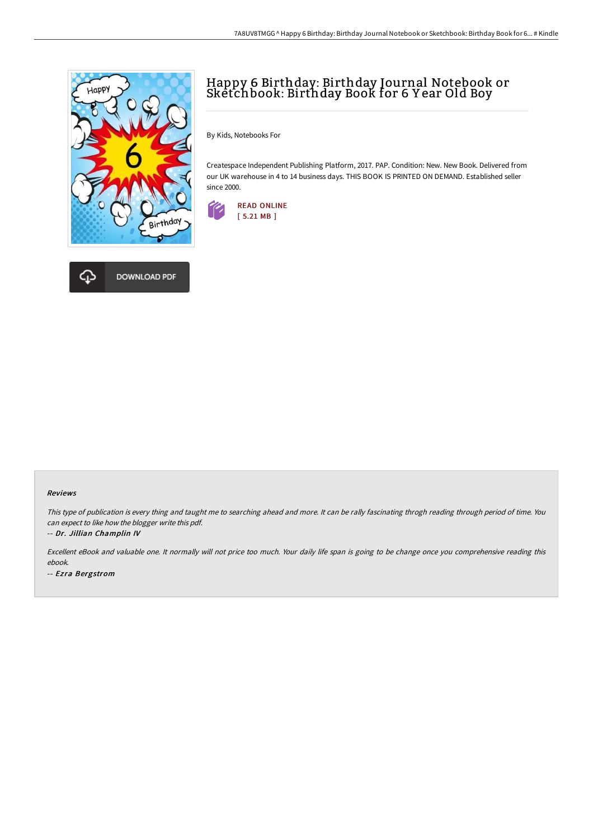

# Happy 6 Birthday: Birthday Journal Notebook or Sketchbook: Birthday Book for 6 Y ear Old Boy

By Kids, Notebooks For

Createspace Independent Publishing Platform, 2017. PAP. Condition: New. New Book. Delivered from our UK warehouse in 4 to 14 business days. THIS BOOK IS PRINTED ON DEMAND. Established seller since 2000.



#### Reviews

This type of publication is every thing and taught me to searching ahead and more. It can be rally fascinating throgh reading through period of time. You can expect to like how the blogger write this pdf.

-- Dr. Jillian Champlin IV

Excellent eBook and valuable one. It normally will not price too much. Your daily life span is going to be change once you comprehensive reading this ebook.

-- Ezra Bergstrom